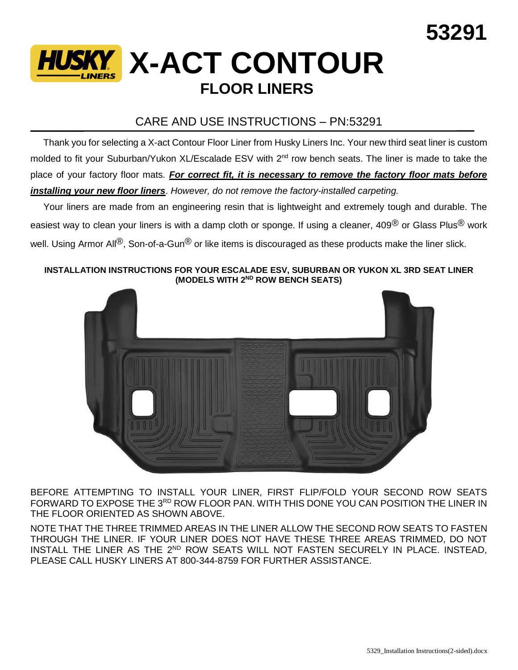

## CARE AND USE INSTRUCTIONS – PN:53291

 Thank you for selecting a X-act Contour Floor Liner from Husky Liners Inc. Your new third seat liner is custom molded to fit your Suburban/Yukon XL/Escalade ESV with 2<sup>nd</sup> row bench seats. The liner is made to take the place of your factory floor mats. *For correct fit, it is necessary to remove the factory floor mats before installing your new floor liners*. *However, do not remove the factory-installed carpeting.*

 Your liners are made from an engineering resin that is lightweight and extremely tough and durable. The easiest way to clean your liners is with a damp cloth or sponge. If using a cleaner, 409<sup>®</sup> or Glass Plus<sup>®</sup> work well. Using Armor All<sup>®</sup>, Son-of-a-Gun<sup>®</sup> or like items is discouraged as these products make the liner slick.

## **INSTALLATION INSTRUCTIONS FOR YOUR ESCALADE ESV, SUBURBAN OR YUKON XL 3RD SEAT LINER (MODELS WITH 2ND ROW BENCH SEATS)**



BEFORE ATTEMPTING TO INSTALL YOUR LINER, FIRST FLIP/FOLD YOUR SECOND ROW SEATS FORWARD TO EXPOSE THE 3RD ROW FLOOR PAN. WITH THIS DONE YOU CAN POSITION THE LINER IN THE FLOOR ORIENTED AS SHOWN ABOVE.

NOTE THAT THE THREE TRIMMED AREAS IN THE LINER ALLOW THE SECOND ROW SEATS TO FASTEN THROUGH THE LINER. IF YOUR LINER DOES NOT HAVE THESE THREE AREAS TRIMMED, DO NOT INSTALL THE LINER AS THE 2<sup>ND</sup> ROW SEATS WILL NOT FASTEN SECURELY IN PLACE. INSTEAD, PLEASE CALL HUSKY LINERS AT 800-344-8759 FOR FURTHER ASSISTANCE.